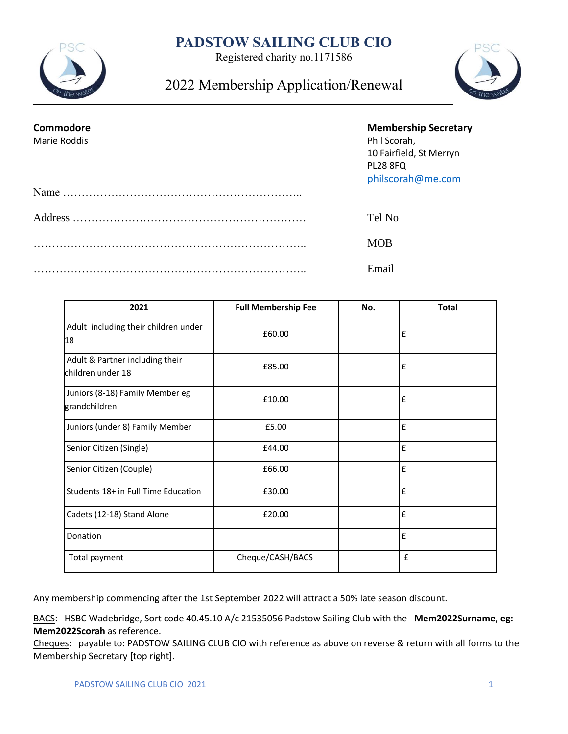# **PADSTOW SAILING CLUB CIO**



Registered charity no.1171586

2022 Membership Application/Renewal



| Commodore<br>Marie Roddis | <b>Membership Secretary</b><br>Phil Scorah,<br>10 Fairfield, St Merryn<br><b>PL28 8FQ</b><br>philscorah@me.com |
|---------------------------|----------------------------------------------------------------------------------------------------------------|
|                           |                                                                                                                |
|                           | Tel No                                                                                                         |
|                           | <b>MOB</b>                                                                                                     |
|                           | Email                                                                                                          |

| 2021                                                 | <b>Full Membership Fee</b> | No. | <b>Total</b> |
|------------------------------------------------------|----------------------------|-----|--------------|
| Adult including their children under<br>18           | £60.00                     |     | £            |
| Adult & Partner including their<br>children under 18 | £85.00                     |     | £            |
| Juniors (8-18) Family Member eg<br>grandchildren     | £10.00                     |     | £            |
| Juniors (under 8) Family Member                      | £5.00                      |     | £            |
| Senior Citizen (Single)                              | £44.00                     |     | £            |
| Senior Citizen (Couple)                              | £66.00                     |     | £            |
| Students 18+ in Full Time Education                  | £30.00                     |     | £            |
| Cadets (12-18) Stand Alone                           | £20.00                     |     | £            |
| Donation                                             |                            |     | £            |
| Total payment                                        | Cheque/CASH/BACS           |     | £            |

Any membership commencing after the 1st September 2022 will attract a 50% late season discount.

BACS: HSBC Wadebridge, Sort code 40.45.10 A/c 21535056 Padstow Sailing Club with the **Mem2022Surname, eg: Mem2022Scorah** as reference.

Cheques: payable to: PADSTOW SAILING CLUB CIO with reference as above on reverse & return with all forms to the Membership Secretary [top right].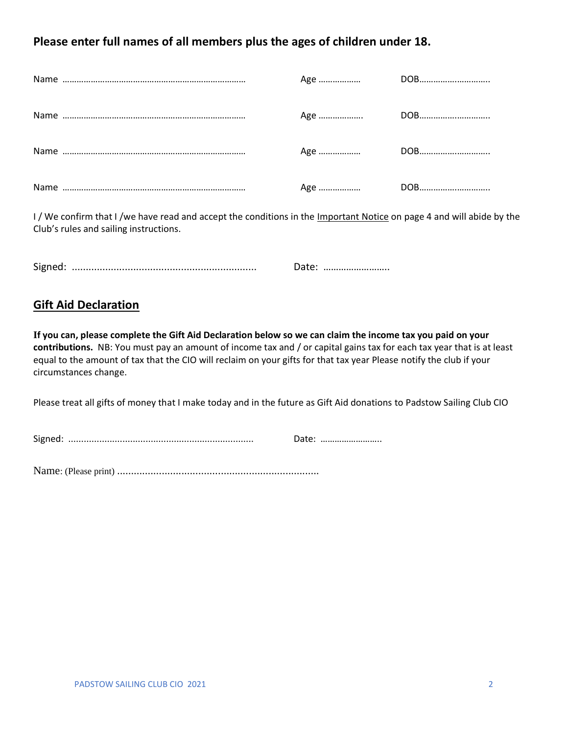### **Please enter full names of all members plus the ages of children under 18.**

I/We confirm that I/we have read and accept the conditions in the Important Notice on page 4 and will abide by the Club's rules and sailing instructions.

Signed: .................................................................. Date: ……………………..

### **Gift Aid Declaration**

**If you can, please complete the Gift Aid Declaration below so we can claim the income tax you paid on your contributions.** NB: You must pay an amount of income tax and / or capital gains tax for each tax year that is at least equal to the amount of tax that the CIO will reclaim on your gifts for that tax year Please notify the club if your circumstances change.

Please treat all gifts of money that I make today and in the future as Gift Aid donations to Padstow Sailing Club CIO

Signed: ........................................................................ Date: ……………………..

Name: (Please print) ........................................................................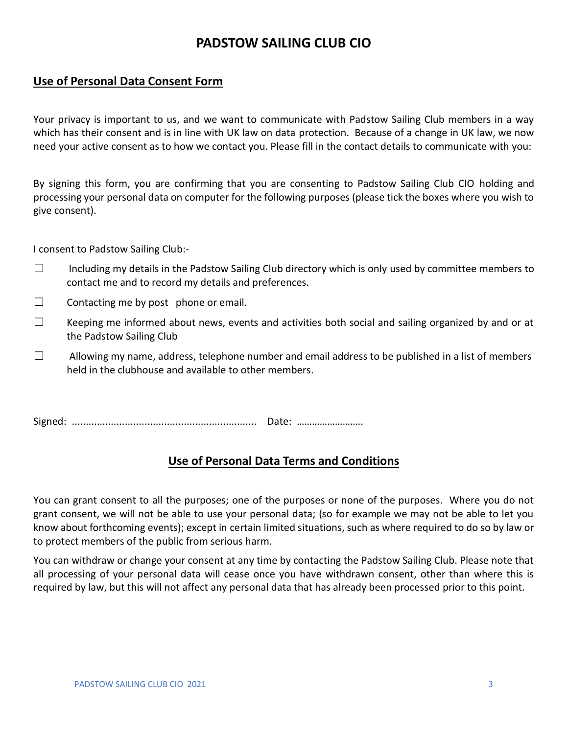## **PADSTOW SAILING CLUB CIO**

#### **Use of Personal Data Consent Form**

Your privacy is important to us, and we want to communicate with Padstow Sailing Club members in a way which has their consent and is in line with UK law on data protection. Because of a change in UK law, we now need your active consent as to how we contact you. Please fill in the contact details to communicate with you:

By signing this form, you are confirming that you are consenting to Padstow Sailing Club CIO holding and processing your personal data on computer for the following purposes (please tick the boxes where you wish to give consent).

I consent to Padstow Sailing Club:-

- $\Box$  Including my details in the Padstow Sailing Club directory which is only used by committee members to contact me and to record my details and preferences.
- $\Box$  Contacting me by post phone or email.
- $\Box$  Keeping me informed about news, events and activities both social and sailing organized by and or at the Padstow Sailing Club
- $\Box$  Allowing my name, address, telephone number and email address to be published in a list of members held in the clubhouse and available to other members.

Signed: .................................................................. Date: ……………………..

### **Use of Personal Data Terms and Conditions**

You can grant consent to all the purposes; one of the purposes or none of the purposes. Where you do not grant consent, we will not be able to use your personal data; (so for example we may not be able to let you know about forthcoming events); except in certain limited situations, such as where required to do so by law or to protect members of the public from serious harm.

You can withdraw or change your consent at any time by contacting the Padstow Sailing Club. Please note that all processing of your personal data will cease once you have withdrawn consent, other than where this is required by law, but this will not affect any personal data that has already been processed prior to this point.